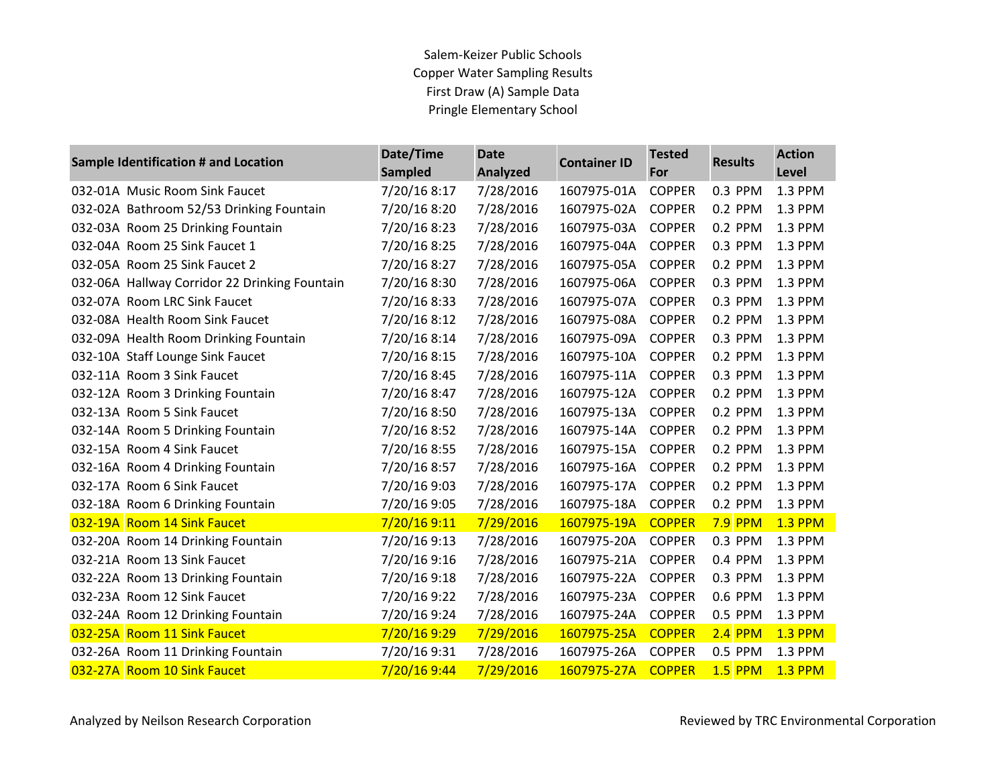## Salem-Keizer Public Schools Copper Water Sampling Results First Draw (A) Sample Data Pringle Elementary School

| Sample Identification # and Location          | Date/Time<br><b>Sampled</b> | <b>Date</b><br><b>Analyzed</b> | <b>Container ID</b> | <b>Tested</b><br>For | <b>Results</b> | <b>Action</b><br>Level |
|-----------------------------------------------|-----------------------------|--------------------------------|---------------------|----------------------|----------------|------------------------|
| 032-01A Music Room Sink Faucet                | 7/20/16 8:17                | 7/28/2016                      | 1607975-01A         | <b>COPPER</b>        | 0.3 PPM        | 1.3 PPM                |
| 032-02A Bathroom 52/53 Drinking Fountain      | 7/20/16 8:20                | 7/28/2016                      | 1607975-02A         | <b>COPPER</b>        | 0.2 PPM        | 1.3 PPM                |
| 032-03A Room 25 Drinking Fountain             | 7/20/16 8:23                | 7/28/2016                      | 1607975-03A         | <b>COPPER</b>        | 0.2 PPM        | 1.3 PPM                |
| 032-04A Room 25 Sink Faucet 1                 | 7/20/16 8:25                | 7/28/2016                      | 1607975-04A         | <b>COPPER</b>        | 0.3 PPM        | 1.3 PPM                |
| 032-05A Room 25 Sink Faucet 2                 | 7/20/16 8:27                | 7/28/2016                      | 1607975-05A         | <b>COPPER</b>        | 0.2 PPM        | 1.3 PPM                |
| 032-06A Hallway Corridor 22 Drinking Fountain | 7/20/16 8:30                | 7/28/2016                      | 1607975-06A         | <b>COPPER</b>        | 0.3 PPM        | 1.3 PPM                |
| 032-07A Room LRC Sink Faucet                  | 7/20/16 8:33                | 7/28/2016                      | 1607975-07A         | <b>COPPER</b>        | 0.3 PPM        | 1.3 PPM                |
| 032-08A Health Room Sink Faucet               | 7/20/16 8:12                | 7/28/2016                      | 1607975-08A         | <b>COPPER</b>        | 0.2 PPM        | 1.3 PPM                |
| 032-09A Health Room Drinking Fountain         | 7/20/16 8:14                | 7/28/2016                      | 1607975-09A         | <b>COPPER</b>        | 0.3 PPM        | 1.3 PPM                |
| 032-10A Staff Lounge Sink Faucet              | 7/20/16 8:15                | 7/28/2016                      | 1607975-10A         | <b>COPPER</b>        | 0.2 PPM        | 1.3 PPM                |
| 032-11A Room 3 Sink Faucet                    | 7/20/16 8:45                | 7/28/2016                      | 1607975-11A         | <b>COPPER</b>        | 0.3 PPM        | 1.3 PPM                |
| 032-12A Room 3 Drinking Fountain              | 7/20/16 8:47                | 7/28/2016                      | 1607975-12A         | <b>COPPER</b>        | 0.2 PPM        | 1.3 PPM                |
| 032-13A Room 5 Sink Faucet                    | 7/20/16 8:50                | 7/28/2016                      | 1607975-13A         | <b>COPPER</b>        | 0.2 PPM        | 1.3 PPM                |
| 032-14A Room 5 Drinking Fountain              | 7/20/16 8:52                | 7/28/2016                      | 1607975-14A         | <b>COPPER</b>        | 0.2 PPM        | 1.3 PPM                |
| 032-15A Room 4 Sink Faucet                    | 7/20/16 8:55                | 7/28/2016                      | 1607975-15A         | <b>COPPER</b>        | 0.2 PPM        | 1.3 PPM                |
| 032-16A Room 4 Drinking Fountain              | 7/20/16 8:57                | 7/28/2016                      | 1607975-16A         | <b>COPPER</b>        | 0.2 PPM        | 1.3 PPM                |
| 032-17A Room 6 Sink Faucet                    | 7/20/16 9:03                | 7/28/2016                      | 1607975-17A         | <b>COPPER</b>        | 0.2 PPM        | 1.3 PPM                |
| 032-18A Room 6 Drinking Fountain              | 7/20/16 9:05                | 7/28/2016                      | 1607975-18A         | <b>COPPER</b>        | 0.2 PPM        | 1.3 PPM                |
| 032-19A Room 14 Sink Faucet                   | 7/20/16 9:11                | 7/29/2016                      | 1607975-19A         | <b>COPPER</b>        | <b>7.9 PPM</b> | <b>1.3 PPM</b>         |
| 032-20A Room 14 Drinking Fountain             | 7/20/16 9:13                | 7/28/2016                      | 1607975-20A         | <b>COPPER</b>        | 0.3 PPM        | 1.3 PPM                |
| 032-21A Room 13 Sink Faucet                   | 7/20/16 9:16                | 7/28/2016                      | 1607975-21A         | <b>COPPER</b>        | 0.4 PPM        | 1.3 PPM                |
| 032-22A Room 13 Drinking Fountain             | 7/20/16 9:18                | 7/28/2016                      | 1607975-22A         | <b>COPPER</b>        | 0.3 PPM        | 1.3 PPM                |
| 032-23A Room 12 Sink Faucet                   | 7/20/16 9:22                | 7/28/2016                      | 1607975-23A         | <b>COPPER</b>        | 0.6 PPM        | 1.3 PPM                |
| 032-24A Room 12 Drinking Fountain             | 7/20/16 9:24                | 7/28/2016                      | 1607975-24A         | <b>COPPER</b>        | 0.5 PPM        | 1.3 PPM                |
| 032-25A Room 11 Sink Faucet                   | 7/20/16 9:29                | 7/29/2016                      | 1607975-25A         | <b>COPPER</b>        | $2.4$ PPM      | <b>1.3 PPM</b>         |
| 032-26A Room 11 Drinking Fountain             | 7/20/16 9:31                | 7/28/2016                      | 1607975-26A         | <b>COPPER</b>        | 0.5 PPM        | 1.3 PPM                |
| 032-27A Room 10 Sink Faucet                   | 7/20/16 9:44                | 7/29/2016                      | 1607975-27A         | <b>COPPER</b>        | <b>1.5 PPM</b> | <b>1.3 PPM</b>         |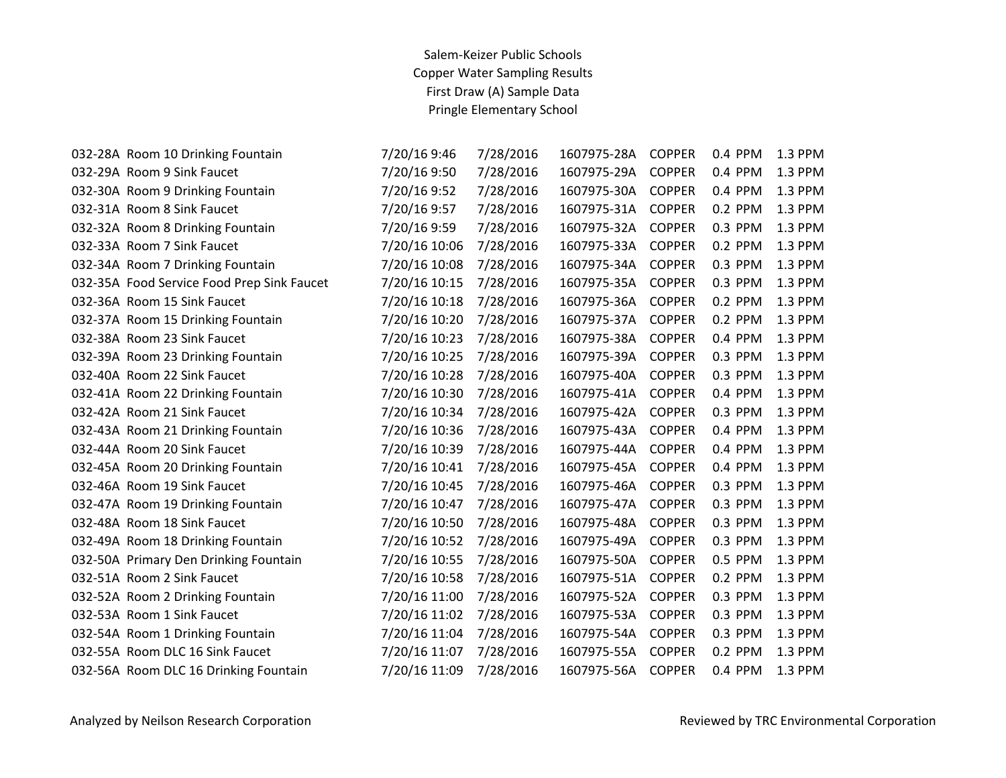## Salem-Keizer Public Schools Copper Water Sampling Results First Draw (A) Sample Data Pringle Elementary School

| 032-28A Room 10 Drinking Fountain          | 7/20/16 9:46  | 7/28/2016 | 1607975-28A | <b>COPPER</b> | 0.4 PPM | 1.3 PPM |
|--------------------------------------------|---------------|-----------|-------------|---------------|---------|---------|
| 032-29A Room 9 Sink Faucet                 | 7/20/16 9:50  | 7/28/2016 | 1607975-29A | <b>COPPER</b> | 0.4 PPM | 1.3 PPM |
| 032-30A Room 9 Drinking Fountain           | 7/20/16 9:52  | 7/28/2016 | 1607975-30A | <b>COPPER</b> | 0.4 PPM | 1.3 PPM |
| 032-31A Room 8 Sink Faucet                 | 7/20/16 9:57  | 7/28/2016 | 1607975-31A | <b>COPPER</b> | 0.2 PPM | 1.3 PPM |
| 032-32A Room 8 Drinking Fountain           | 7/20/16 9:59  | 7/28/2016 | 1607975-32A | <b>COPPER</b> | 0.3 PPM | 1.3 PPM |
| 032-33A Room 7 Sink Faucet                 | 7/20/16 10:06 | 7/28/2016 | 1607975-33A | <b>COPPER</b> | 0.2 PPM | 1.3 PPM |
| 032-34A Room 7 Drinking Fountain           | 7/20/16 10:08 | 7/28/2016 | 1607975-34A | <b>COPPER</b> | 0.3 PPM | 1.3 PPM |
| 032-35A Food Service Food Prep Sink Faucet | 7/20/16 10:15 | 7/28/2016 | 1607975-35A | <b>COPPER</b> | 0.3 PPM | 1.3 PPM |
| 032-36A Room 15 Sink Faucet                | 7/20/16 10:18 | 7/28/2016 | 1607975-36A | <b>COPPER</b> | 0.2 PPM | 1.3 PPM |
| 032-37A Room 15 Drinking Fountain          | 7/20/16 10:20 | 7/28/2016 | 1607975-37A | <b>COPPER</b> | 0.2 PPM | 1.3 PPM |
| 032-38A Room 23 Sink Faucet                | 7/20/16 10:23 | 7/28/2016 | 1607975-38A | <b>COPPER</b> | 0.4 PPM | 1.3 PPM |
| 032-39A Room 23 Drinking Fountain          | 7/20/16 10:25 | 7/28/2016 | 1607975-39A | <b>COPPER</b> | 0.3 PPM | 1.3 PPM |
| 032-40A Room 22 Sink Faucet                | 7/20/16 10:28 | 7/28/2016 | 1607975-40A | <b>COPPER</b> | 0.3 PPM | 1.3 PPM |
| 032-41A Room 22 Drinking Fountain          | 7/20/16 10:30 | 7/28/2016 | 1607975-41A | <b>COPPER</b> | 0.4 PPM | 1.3 PPM |
| 032-42A Room 21 Sink Faucet                | 7/20/16 10:34 | 7/28/2016 | 1607975-42A | <b>COPPER</b> | 0.3 PPM | 1.3 PPM |
| 032-43A Room 21 Drinking Fountain          | 7/20/16 10:36 | 7/28/2016 | 1607975-43A | <b>COPPER</b> | 0.4 PPM | 1.3 PPM |
| 032-44A Room 20 Sink Faucet                | 7/20/16 10:39 | 7/28/2016 | 1607975-44A | <b>COPPER</b> | 0.4 PPM | 1.3 PPM |
| 032-45A Room 20 Drinking Fountain          | 7/20/16 10:41 | 7/28/2016 | 1607975-45A | <b>COPPER</b> | 0.4 PPM | 1.3 PPM |
| 032-46A Room 19 Sink Faucet                | 7/20/16 10:45 | 7/28/2016 | 1607975-46A | <b>COPPER</b> | 0.3 PPM | 1.3 PPM |
| 032-47A Room 19 Drinking Fountain          | 7/20/16 10:47 | 7/28/2016 | 1607975-47A | <b>COPPER</b> | 0.3 PPM | 1.3 PPM |
| 032-48A Room 18 Sink Faucet                | 7/20/16 10:50 | 7/28/2016 | 1607975-48A | <b>COPPER</b> | 0.3 PPM | 1.3 PPM |
| 032-49A Room 18 Drinking Fountain          | 7/20/16 10:52 | 7/28/2016 | 1607975-49A | <b>COPPER</b> | 0.3 PPM | 1.3 PPM |
| 032-50A Primary Den Drinking Fountain      | 7/20/16 10:55 | 7/28/2016 | 1607975-50A | <b>COPPER</b> | 0.5 PPM | 1.3 PPM |
| 032-51A Room 2 Sink Faucet                 | 7/20/16 10:58 | 7/28/2016 | 1607975-51A | <b>COPPER</b> | 0.2 PPM | 1.3 PPM |
| 032-52A Room 2 Drinking Fountain           | 7/20/16 11:00 | 7/28/2016 | 1607975-52A | <b>COPPER</b> | 0.3 PPM | 1.3 PPM |
| 032-53A Room 1 Sink Faucet                 | 7/20/16 11:02 | 7/28/2016 | 1607975-53A | <b>COPPER</b> | 0.3 PPM | 1.3 PPM |
| 032-54A Room 1 Drinking Fountain           | 7/20/16 11:04 | 7/28/2016 | 1607975-54A | <b>COPPER</b> | 0.3 PPM | 1.3 PPM |
| 032-55A Room DLC 16 Sink Faucet            | 7/20/16 11:07 | 7/28/2016 | 1607975-55A | <b>COPPER</b> | 0.2 PPM | 1.3 PPM |
| 032-56A Room DLC 16 Drinking Fountain      | 7/20/16 11:09 | 7/28/2016 | 1607975-56A | <b>COPPER</b> | 0.4 PPM | 1.3 PPM |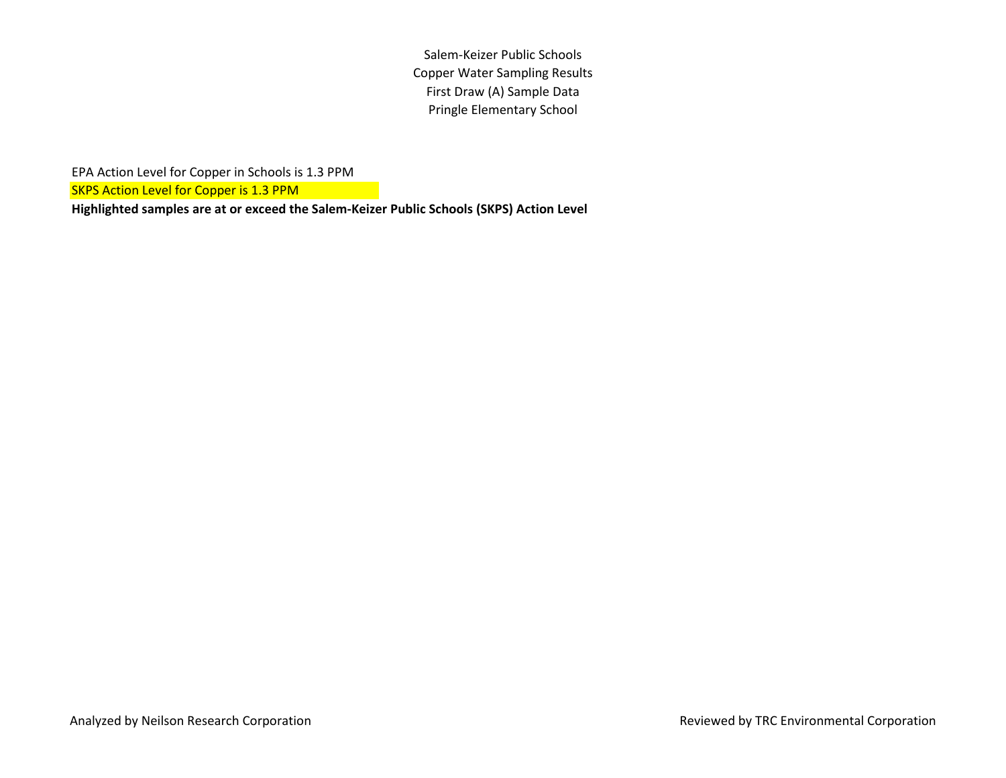Salem-Keizer Public Schools Copper Water Sampling Results First Draw (A) Sample Data Pringle Elementary School

EPA Action Level for Copper in Schools is 1.3 PPM

SKPS Action Level for Copper is 1.3 PPM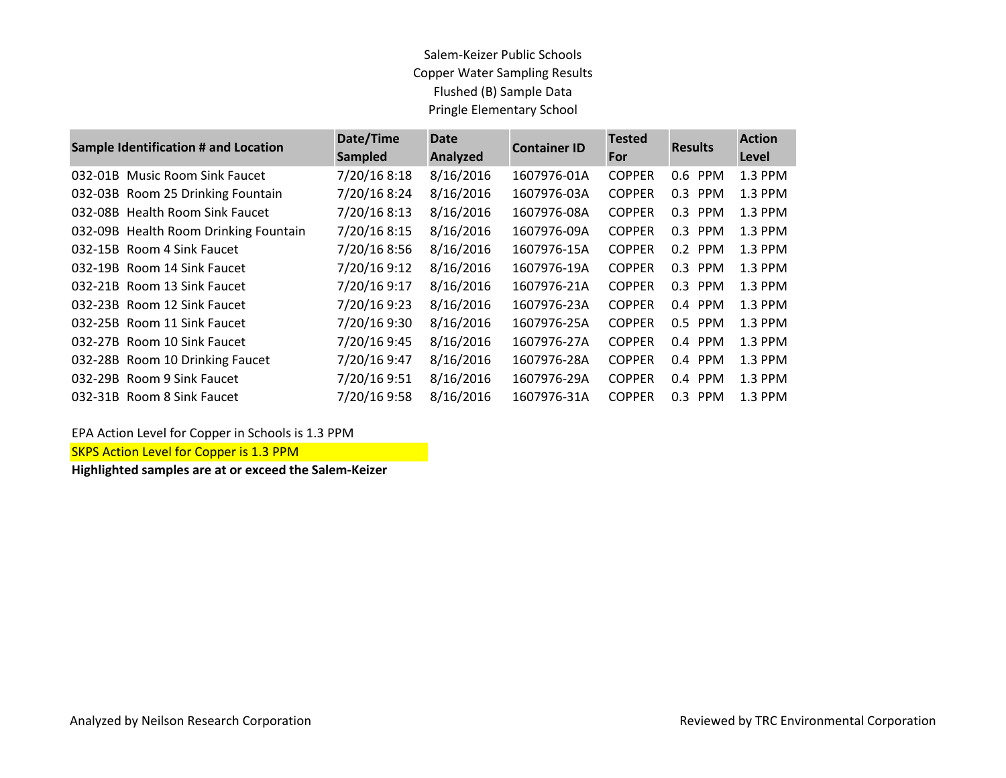## Salem-Keizer Public Schools Copper Water Sampling Results Flushed (B) Sample Data Pringle Elementary School

| <b>Sample Identification # and Location</b> | Date/Time<br><b>Sampled</b> | <b>Date</b><br><b>Analyzed</b> | <b>Container ID</b> | <b>Tested</b><br>For | <b>Results</b> | <b>Action</b><br>Level |
|---------------------------------------------|-----------------------------|--------------------------------|---------------------|----------------------|----------------|------------------------|
| 032-01B Music Room Sink Faucet              | 7/20/16 8:18                | 8/16/2016                      | 1607976-01A         | <b>COPPER</b>        | 0.6 PPM        | 1.3 PPM                |
| 032-03B Room 25 Drinking Fountain           | 7/20/16 8:24                | 8/16/2016                      | 1607976-03A         | <b>COPPER</b>        | 0.3 PPM        | 1.3 PPM                |
| 032-08B Health Room Sink Faucet             | 7/20/16 8:13                | 8/16/2016                      | 1607976-08A         | <b>COPPER</b>        | 0.3 PPM        | 1.3 PPM                |
| 032-09B Health Room Drinking Fountain       | 7/20/16 8:15                | 8/16/2016                      | 1607976-09A         | <b>COPPER</b>        | 0.3 PPM        | 1.3 PPM                |
| 032-15B Room 4 Sink Faucet                  | 7/20/16 8:56                | 8/16/2016                      | 1607976-15A         | <b>COPPER</b>        | 0.2 PPM        | 1.3 PPM                |
| 032-19B Room 14 Sink Faucet                 | 7/20/16 9:12                | 8/16/2016                      | 1607976-19A         | <b>COPPER</b>        | 0.3 PPM        | 1.3 PPM                |
| 032-21B Room 13 Sink Faucet                 | 7/20/16 9:17                | 8/16/2016                      | 1607976-21A         | <b>COPPER</b>        | 0.3 PPM        | 1.3 PPM                |
| 032-23B Room 12 Sink Faucet                 | 7/20/16 9:23                | 8/16/2016                      | 1607976-23A         | <b>COPPER</b>        | 0.4 PPM        | 1.3 PPM                |
| 032-25B Room 11 Sink Faucet                 | 7/20/16 9:30                | 8/16/2016                      | 1607976-25A         | <b>COPPER</b>        | 0.5 PPM        | 1.3 PPM                |
| 032-27B Room 10 Sink Faucet                 | 7/20/16 9:45                | 8/16/2016                      | 1607976-27A         | <b>COPPER</b>        | 0.4 PPM        | 1.3 PPM                |
| 032-28B Room 10 Drinking Faucet             | 7/20/16 9:47                | 8/16/2016                      | 1607976-28A         | <b>COPPER</b>        | $0.4$ PPM      | 1.3 PPM                |
| 032-29B Room 9 Sink Faucet                  | 7/20/16 9:51                | 8/16/2016                      | 1607976-29A         | <b>COPPER</b>        | 0.4 PPM        | 1.3 PPM                |
| 032-31B Room 8 Sink Faucet                  | 7/20/16 9:58                | 8/16/2016                      | 1607976-31A         | <b>COPPER</b>        | $0.3$ PPM      | 1.3 PPM                |

EPA Action Level for Copper in Schools is 1.3 PPM

SKPS Action Level for Copper is 1.3 PPM

**Highlighted samples are at or exceed the Salem-Keizer**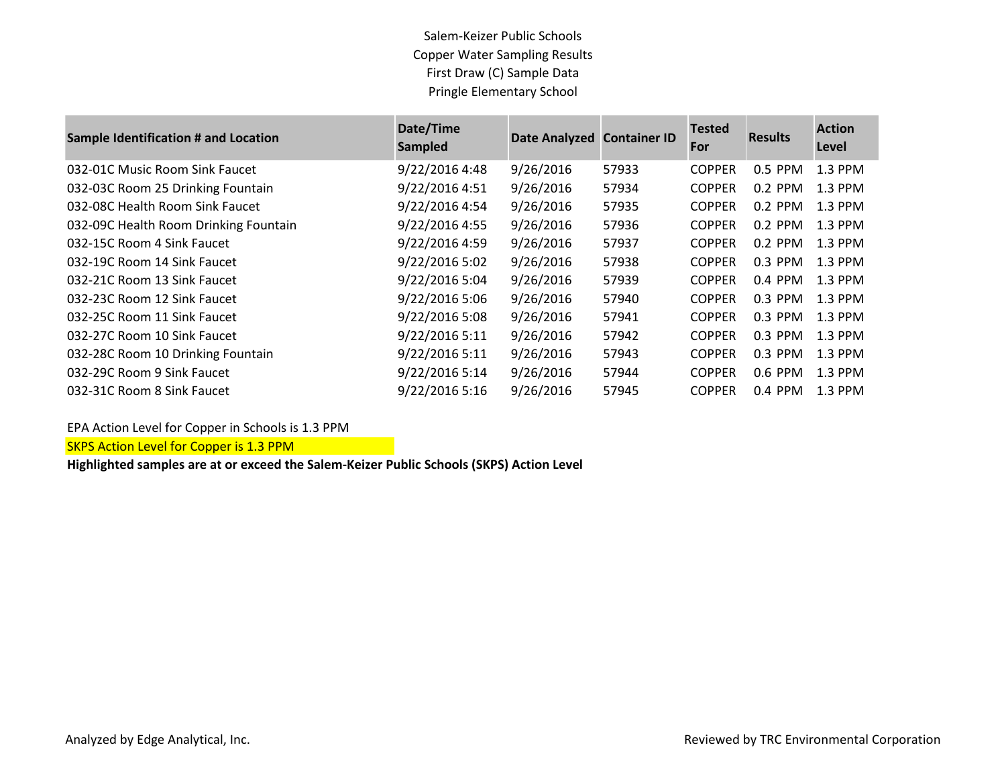Salem-Keizer Public Schools Copper Water Sampling Results First Draw (C) Sample Data Pringle Elementary School

| <b>Sample Identification # and Location</b> | Date/Time<br><b>Sampled</b> | Date Analyzed Container ID |       | <b>Tested</b><br>For | <b>Results</b> | <b>Action</b><br>Level |
|---------------------------------------------|-----------------------------|----------------------------|-------|----------------------|----------------|------------------------|
| 032-01C Music Room Sink Faucet              | 9/22/2016 4:48              | 9/26/2016                  | 57933 | <b>COPPER</b>        | 0.5 PPM        | 1.3 PPM                |
| 032-03C Room 25 Drinking Fountain           | 9/22/2016 4:51              | 9/26/2016                  | 57934 | <b>COPPER</b>        | $0.2$ PPM      | $1.3$ PPM              |
| 032-08C Health Room Sink Faucet             | 9/22/2016 4:54              | 9/26/2016                  | 57935 | <b>COPPER</b>        | $0.2$ PPM      | $1.3$ PPM              |
| 032-09C Health Room Drinking Fountain       | 9/22/2016 4:55              | 9/26/2016                  | 57936 | <b>COPPER</b>        | $0.2$ PPM      | $1.3$ PPM              |
| 032-15C Room 4 Sink Faucet                  | 9/22/2016 4:59              | 9/26/2016                  | 57937 | <b>COPPER</b>        | $0.2$ PPM      | $1.3$ PPM              |
| 032-19C Room 14 Sink Faucet                 | 9/22/2016 5:02              | 9/26/2016                  | 57938 | <b>COPPER</b>        | $0.3$ PPM      | $1.3$ PPM              |
| 032-21C Room 13 Sink Faucet                 | 9/22/2016 5:04              | 9/26/2016                  | 57939 | <b>COPPER</b>        | $0.4$ PPM      | $1.3$ PPM              |
| 032-23C Room 12 Sink Faucet                 | 9/22/2016 5:06              | 9/26/2016                  | 57940 | <b>COPPER</b>        | $0.3$ PPM      | $1.3$ PPM              |
| 032-25C Room 11 Sink Faucet                 | 9/22/2016 5:08              | 9/26/2016                  | 57941 | <b>COPPER</b>        | $0.3$ PPM      | $1.3$ PPM              |
| 032-27C Room 10 Sink Faucet                 | 9/22/2016 5:11              | 9/26/2016                  | 57942 | <b>COPPER</b>        | $0.3$ PPM      | 1.3 PPM                |
| 032-28C Room 10 Drinking Fountain           | 9/22/2016 5:11              | 9/26/2016                  | 57943 | <b>COPPER</b>        | 0.3 PPM        | 1.3 PPM                |
| 032-29C Room 9 Sink Faucet                  | 9/22/2016 5:14              | 9/26/2016                  | 57944 | <b>COPPER</b>        | 0.6 PPM        | $1.3$ PPM              |
| 032-31C Room 8 Sink Faucet                  | 9/22/2016 5:16              | 9/26/2016                  | 57945 | <b>COPPER</b>        | $0.4$ PPM      | $1.3$ PPM              |

EPA Action Level for Copper in Schools is 1.3 PPM

**SKPS Action Level for Copper is 1.3 PPM**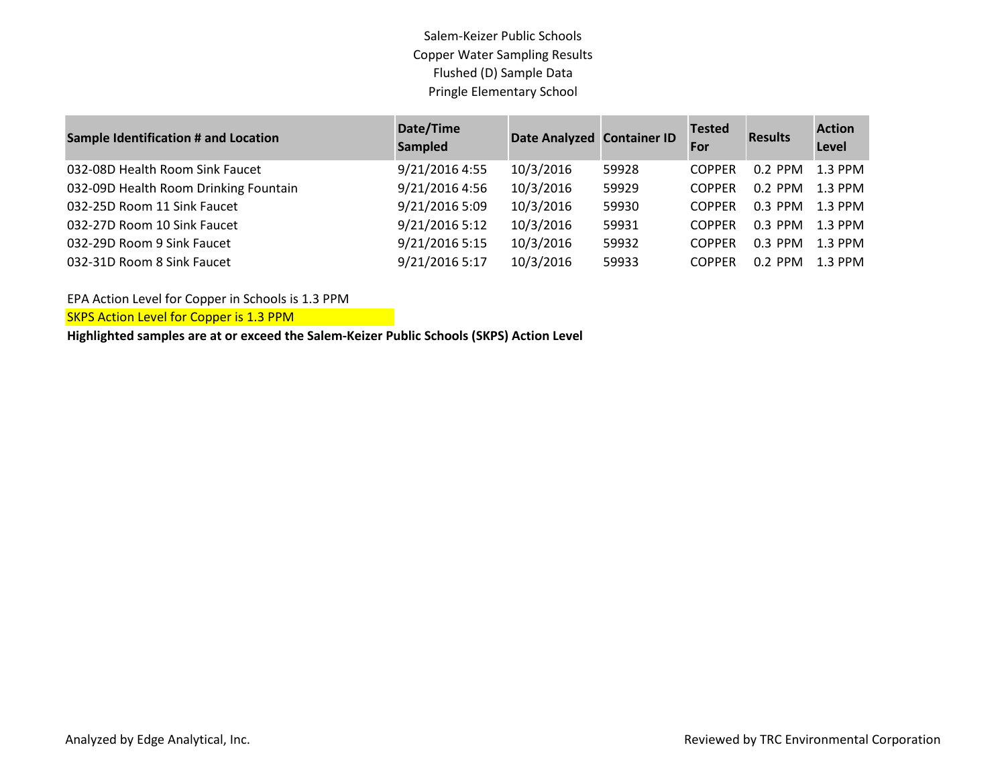Salem-Keizer Public Schools Copper Water Sampling Results Flushed (D) Sample Data Pringle Elementary School

| <b>Sample Identification # and Location</b> | Date/Time<br><b>Sampled</b> | Date Analyzed Container ID |       | <b>Tested</b><br>For | <b>Results</b> | <b>Action</b><br>Level |
|---------------------------------------------|-----------------------------|----------------------------|-------|----------------------|----------------|------------------------|
| 032-08D Health Room Sink Faucet             | 9/21/2016 4:55              | 10/3/2016                  | 59928 | <b>COPPER</b>        | $0.2$ PPM      | 1.3 PPM                |
| 032-09D Health Room Drinking Fountain       | 9/21/2016 4:56              | 10/3/2016                  | 59929 | <b>COPPER</b>        | $0.2$ PPM      | $1.3$ PPM              |
| 032-25D Room 11 Sink Faucet                 | 9/21/2016 5:09              | 10/3/2016                  | 59930 | <b>COPPER</b>        | $0.3$ PPM      | $1.3$ PPM              |
| 032-27D Room 10 Sink Faucet                 | 9/21/2016 5:12              | 10/3/2016                  | 59931 | <b>COPPER</b>        | $0.3$ PPM      | $1.3$ PPM              |
| 032-29D Room 9 Sink Faucet                  | 9/21/2016 5:15              | 10/3/2016                  | 59932 | <b>COPPER</b>        | $0.3$ PPM      | $1.3$ PPM              |
| 032-31D Room 8 Sink Faucet                  | 9/21/2016 5:17              | 10/3/2016                  | 59933 | <b>COPPER</b>        | $0.2$ PPM      | $1.3$ PPM              |

EPA Action Level for Copper in Schools is 1.3 PPM

**SKPS Action Level for Copper is 1.3 PPM**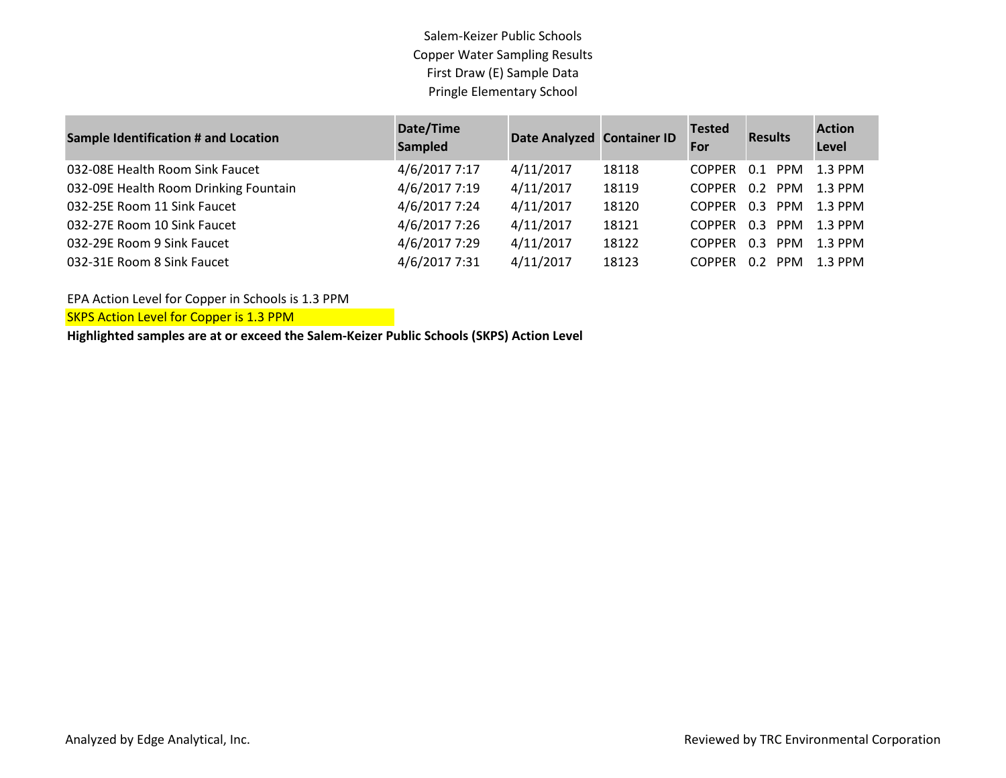Salem-Keizer Public Schools Copper Water Sampling Results First Draw (E) Sample Data Pringle Elementary School

| <b>Sample Identification # and Location</b> | Date/Time<br><b>Sampled</b> | Date Analyzed Container ID |       | <b>Tested</b><br>For | <b>Results</b>    | <b>Action</b><br>Level |
|---------------------------------------------|-----------------------------|----------------------------|-------|----------------------|-------------------|------------------------|
| 032-08E Health Room Sink Faucet             | 4/6/2017 7:17               | 4/11/2017                  | 18118 | <b>COPPER</b>        | 0.1<br><b>PPM</b> | 1.3 PPM                |
| 032-09E Health Room Drinking Fountain       | 4/6/2017 7:19               | 4/11/2017                  | 18119 | <b>COPPER</b>        | 0.2<br><b>PPM</b> | $1.3$ PPM              |
| 032-25E Room 11 Sink Faucet                 | 4/6/2017 7:24               | 4/11/2017                  | 18120 | <b>COPPER</b>        | 0.3<br><b>PPM</b> | 1.3 PPM                |
| 032-27E Room 10 Sink Faucet                 | 4/6/2017 7:26               | 4/11/2017                  | 18121 | <b>COPPER</b>        | <b>PPM</b><br>0.3 | $1.3$ PPM              |
| 032-29E Room 9 Sink Faucet                  | 4/6/2017 7:29               | 4/11/2017                  | 18122 | <b>COPPER</b>        | 0.3<br><b>PPM</b> | $1.3$ PPM              |
| 032-31E Room 8 Sink Faucet                  | 4/6/2017 7:31               | 4/11/2017                  | 18123 | <b>COPPER</b>        | <b>PPM</b><br>0.2 | $1.3$ PPM              |

EPA Action Level for Copper in Schools is 1.3 PPM

**SKPS Action Level for Copper is 1.3 PPM**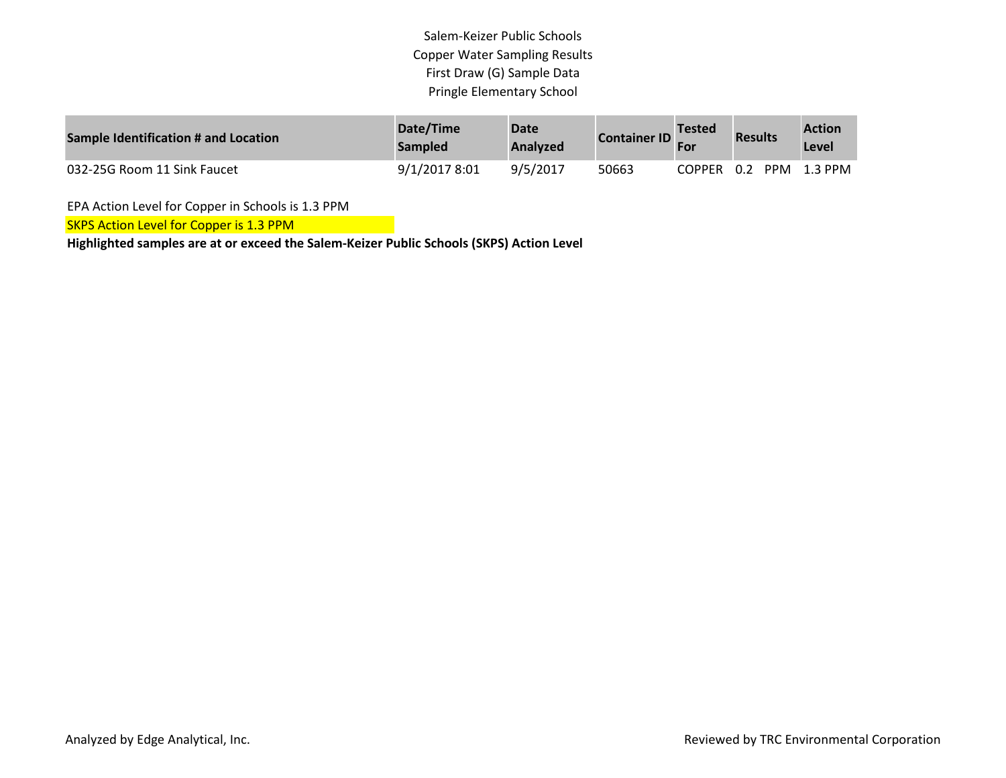Salem-Keizer Public Schools Copper Water Sampling Results First Draw (G) Sample Data Pringle Elementary School

| Sample Identification # and Location | Date/Time<br><b>Sampled</b> | <b>Date</b><br>Analyzed | <b>Container ID</b> | <b>Tested</b> | <b>Results</b> | <b>Action</b><br>Level |
|--------------------------------------|-----------------------------|-------------------------|---------------------|---------------|----------------|------------------------|
| 032-25G Room 11 Sink Faucet          | 9/1/2017 8:01               | 9/5/2017                | 50663               | COPPER 0.2    | <b>PPM</b>     | 1.3 PPM                |

EPA Action Level for Copper in Schools is 1.3 PPM

**SKPS Action Level for Copper is 1.3 PPM**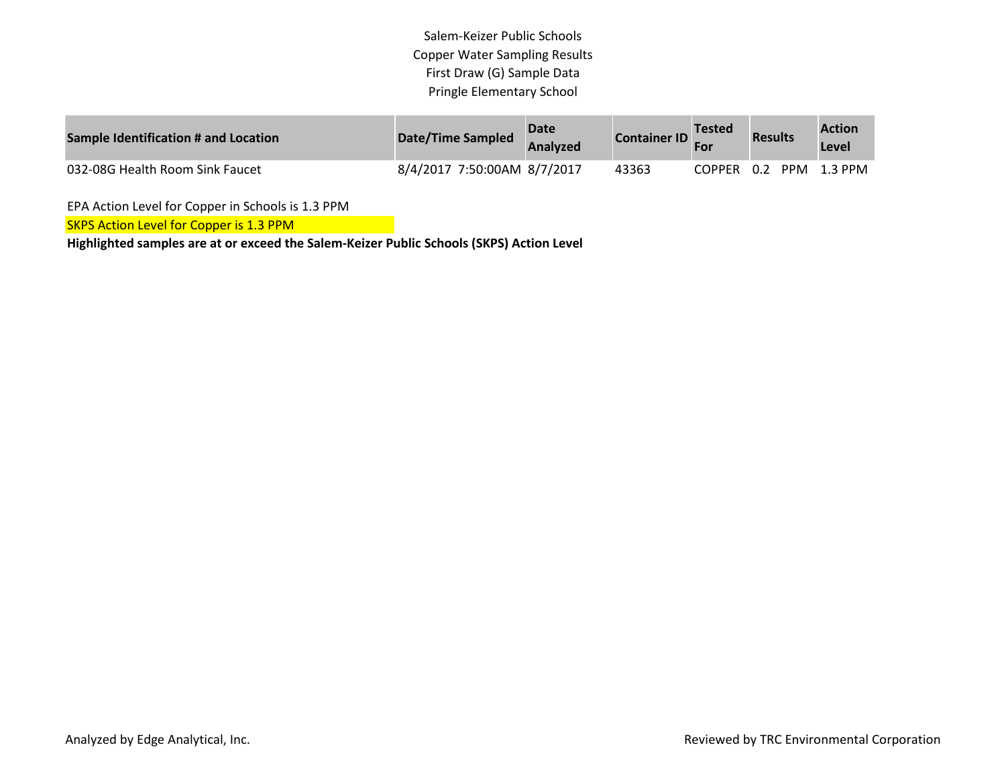Salem-Keizer Public Schools Copper Water Sampling Results First Draw (G) Sample Data Pringle Elementary School

| Sample Identification # and Location | Date/Time Sampled           | <b>Date</b><br><b>Analyzed</b> | <b>Container ID</b> | <b>Tested</b> | <b>Results</b> | <b>Action</b><br>Level |
|--------------------------------------|-----------------------------|--------------------------------|---------------------|---------------|----------------|------------------------|
| 032-08G Health Room Sink Faucet      | 8/4/2017 7:50:00AM 8/7/2017 |                                | 43363               | COPPER 0.2    |                | PPM 1.3 PPM            |

EPA Action Level for Copper in Schools is 1.3 PPM

**SKPS Action Level for Copper is 1.3 PPM**